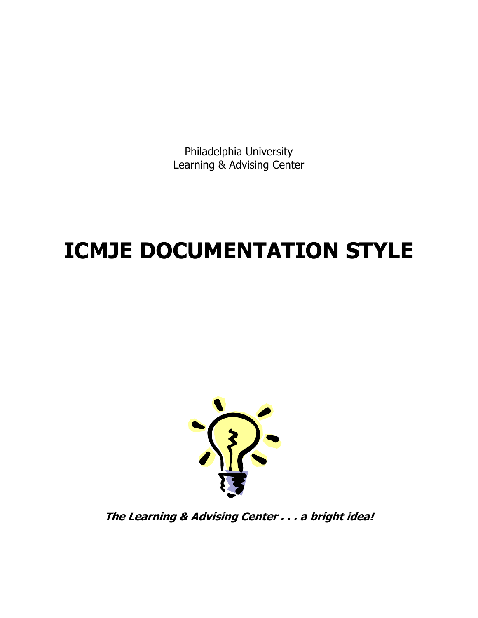Philadelphia University Learning & Advising Center

# **ICMJE DOCUMENTATION STYLE**



**The Learning & Advising Center . . . a bright idea!**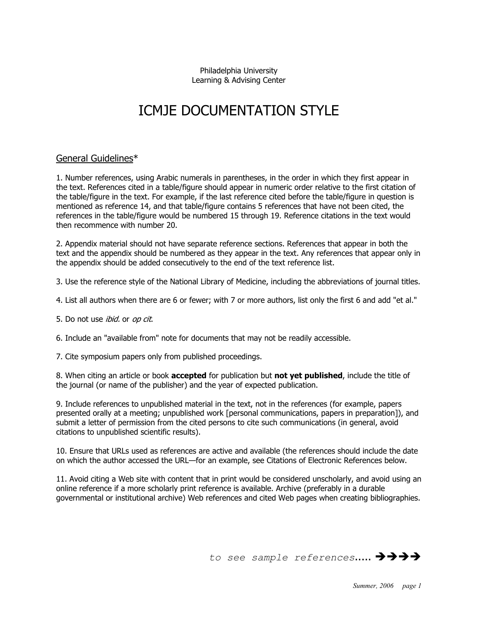Philadelphia University Learning & Advising Center

# ICMJE DOCUMENTATION STYLE

# General Guidelines\*

1. Number references, using Arabic numerals in parentheses, in the order in which they first appear in the text. References cited in a table/figure should appear in numeric order relative to the first citation of the table/figure in the text. For example, if the last reference cited before the table/figure in question is mentioned as reference 14, and that table/figure contains 5 references that have not been cited, the references in the table/figure would be numbered 15 through 19. Reference citations in the text would then recommence with number 20.

2. Appendix material should not have separate reference sections. References that appear in both the text and the appendix should be numbered as they appear in the text. Any references that appear only in the appendix should be added consecutively to the end of the text reference list.

3. Use the reference style of the National Library of Medicine, including the abbreviations of journal titles.

- 4. List all authors when there are 6 or fewer; with 7 or more authors, list only the first 6 and add "et al."
- 5. Do not use *ibid*, or *op cit*.
- 6. Include an "available from" note for documents that may not be readily accessible.
- 7. Cite symposium papers only from published proceedings.

8. When citing an article or book **accepted** for publication but **not yet published**, include the title of the journal (or name of the publisher) and the year of expected publication.

9. Include references to unpublished material in the text, not in the references (for example, papers presented orally at a meeting; unpublished work [personal communications, papers in preparation]), and submit a letter of permission from the cited persons to cite such communications (in general, avoid citations to unpublished scientific results).

10. Ensure that URLs used as references are active and available (the references should include the date on which the author accessed the URL—for an example, see Citations of Electronic References below.

11. Avoid citing a Web site with content that in print would be considered unscholarly, and avoid using an online reference if a more scholarly print reference is available. Archive (preferably in a durable governmental or institutional archive) Web references and cited Web pages when creating bibliographies.

to see sample references.....  $\rightarrow$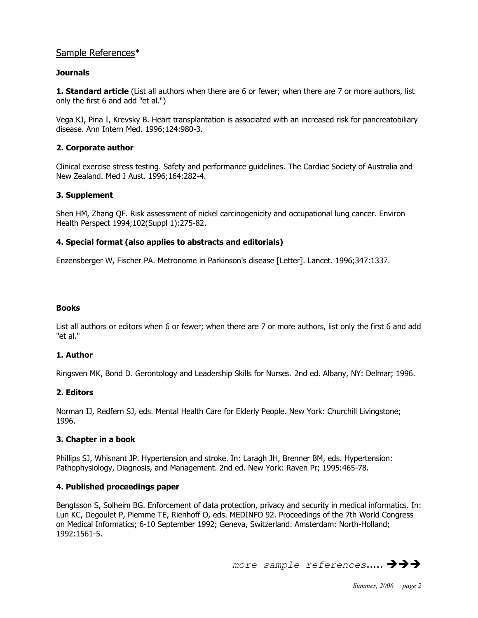# Sample References\*

# **Journals**

**1. Standard article** (List all authors when there are 6 or fewer; when there are 7 or more authors, list only the first 6 and add "et al.")

Vega KJ, Pina I, Krevsky B. Heart transplantation is associated with an increased risk for pancreatobiliary disease. Ann Intern Med. 1996;124:980-3.

# **2. Corporate author**

Clinical exercise stress testing. Safety and performance guidelines. The Cardiac Society of Australia and New Zealand. Med J Aust. 1996;164:282-4.

# **3. Supplement**

Shen HM, Zhang QF. Risk assessment of nickel carcinogenicity and occupational lung cancer. Environ Health Perspect 1994;102(Suppl 1):275-82.

# **4. Special format (also applies to abstracts and editorials)**

Enzensberger W, Fischer PA. Metronome in Parkinson's disease [Letter]. Lancet. 1996;347:1337.

#### **Books**

List all authors or editors when 6 or fewer; when there are 7 or more authors, list only the first 6 and add "et al."

# **1. Author**

Ringsven MK, Bond D. Gerontology and Leadership Skills for Nurses. 2nd ed. Albany, NY: Delmar; 1996.

# **2. Editors**

Norman IJ, Redfern SJ, eds. Mental Health Care for Elderly People. New York: Churchill Livingstone; 1996.

#### **3. Chapter in a book**

Phillips SJ, Whisnant JP. Hypertension and stroke. In: Laragh JH, Brenner BM, eds. Hypertension: Pathophysiology, Diagnosis, and Management. 2nd ed. New York: Raven Pr; 1995:465-78.

#### **4. Published proceedings paper**

Bengtsson S, Solheim BG. Enforcement of data protection, privacy and security in medical informatics. In: Lun KC, Degoulet P, Piemme TE, Rienhoff O, eds. MEDINFO 92. Proceedings of the 7th World Congress on Medical Informatics; 6-10 September 1992; Geneva, Switzerland. Amsterdam: North-Holland; 1992:1561-5.

more sample references.....  $\rightarrow$